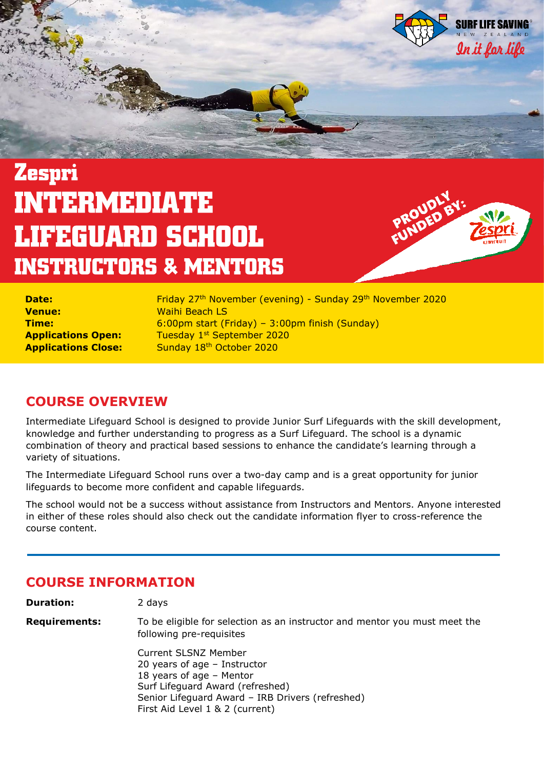

# **Zespri INTERMEDIATE LIFEGUARD SCHOOL INSTRUCTORS & MENTORS**



| <b>Date:</b>               |  |
|----------------------------|--|
| Venue:                     |  |
| Time:                      |  |
| <b>Applications Open:</b>  |  |
| <b>Applications Close:</b> |  |

**Date:** Friday 27th November (evening) - Sunday 29th November 2020 **Venue:** Waihi Beach LS **Time:** 6:00pm start (Friday) – 3:00pm finish (Sunday) **Applications Open:** Tuesday 1<sup>st</sup> September 2020 Sunday 18<sup>th</sup> October 2020

# **COURSE OVERVIEW**

Intermediate Lifeguard School is designed to provide Junior Surf Lifeguards with the skill development, knowledge and further understanding to progress as a Surf Lifeguard. The school is a dynamic combination of theory and practical based sessions to enhance the candidate's learning through a variety of situations.

The Intermediate Lifeguard School runs over a two-day camp and is a great opportunity for junior lifeguards to become more confident and capable lifeguards.

The school would not be a success without assistance from Instructors and Mentors. Anyone interested in either of these roles should also check out the candidate information flyer to cross-reference the course content.

## **COURSE INFORMATION**

**Duration:** 2 days

**Requirements:** To be eligible for selection as an instructor and mentor you must meet the following pre-requisites

> Current SLSNZ Member 20 years of age – Instructor 18 years of age – Mentor Surf Lifeguard Award (refreshed) Senior Lifeguard Award – IRB Drivers (refreshed) First Aid Level 1 & 2 (current)